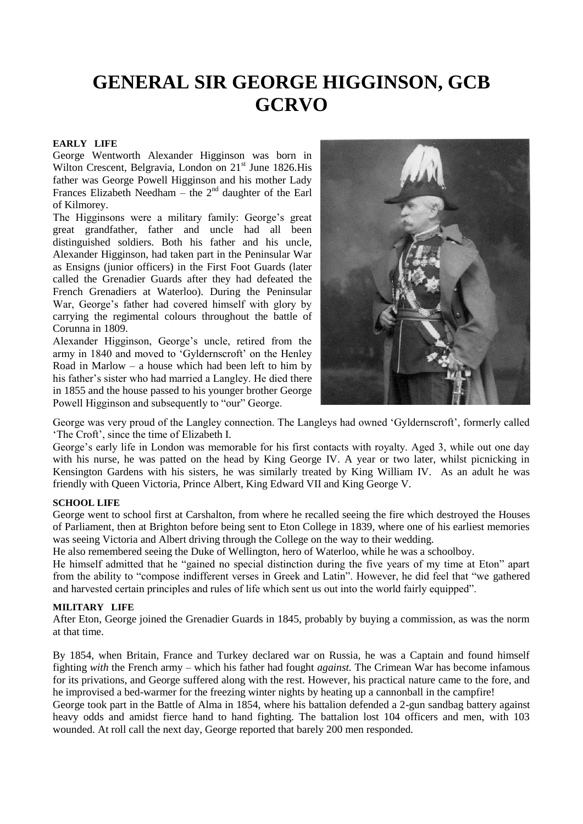# **GENERAL SIR GEORGE HIGGINSON, GCB GCRVO**

#### **EARLY LIFE**

George Wentworth Alexander Higginson was born in Wilton Crescent, Belgravia, London on  $21<sup>st</sup>$  June 1826.His father was George Powell Higginson and his mother Lady Frances Elizabeth Needham – the  $2<sup>nd</sup>$  daughter of the Earl of Kilmorey.

The Higginsons were a military family: George's great great grandfather, father and uncle had all been distinguished soldiers. Both his father and his uncle, Alexander Higginson, had taken part in the Peninsular War as Ensigns (junior officers) in the First Foot Guards (later called the Grenadier Guards after they had defeated the French Grenadiers at Waterloo). During the Peninsular War, George's father had covered himself with glory by carrying the regimental colours throughout the battle of Corunna in 1809.

Alexander Higginson, George's uncle, retired from the army in 1840 and moved to 'Gyldernscroft' on the Henley Road in Marlow – a house which had been left to him by his father's sister who had married a Langley. He died there in 1855 and the house passed to his younger brother George Powell Higginson and subsequently to "our" George.



George was very proud of the Langley connection. The Langleys had owned 'Gyldernscroft', formerly called 'The Croft', since the time of Elizabeth I.

George's early life in London was memorable for his first contacts with royalty. Aged 3, while out one day with his nurse, he was patted on the head by King George IV. A year or two later, whilst picnicking in Kensington Gardens with his sisters, he was similarly treated by King William IV. As an adult he was friendly with Queen Victoria, Prince Albert, King Edward VII and King George V.

#### **SCHOOL LIFE**

George went to school first at Carshalton, from where he recalled seeing the fire which destroyed the Houses of Parliament, then at Brighton before being sent to Eton College in 1839, where one of his earliest memories was seeing Victoria and Albert driving through the College on the way to their wedding.

He also remembered seeing the Duke of Wellington, hero of Waterloo, while he was a schoolboy.

He himself admitted that he "gained no special distinction during the five years of my time at Eton" apart from the ability to "compose indifferent verses in Greek and Latin". However, he did feel that "we gathered and harvested certain principles and rules of life which sent us out into the world fairly equipped".

### **MILITARY LIFE**

After Eton, George joined the Grenadier Guards in 1845, probably by buying a commission, as was the norm at that time.

By 1854, when Britain, France and Turkey declared war on Russia, he was a Captain and found himself fighting *with* the French army – which his father had fought *against.* The Crimean War has become infamous for its privations, and George suffered along with the rest. However, his practical nature came to the fore, and he improvised a bed-warmer for the freezing winter nights by heating up a cannonball in the campfire! George took part in the Battle of Alma in 1854, where his battalion defended a 2-gun sandbag battery against heavy odds and amidst fierce hand to hand fighting. The battalion lost 104 officers and men, with 103 wounded. At roll call the next day, George reported that barely 200 men responded.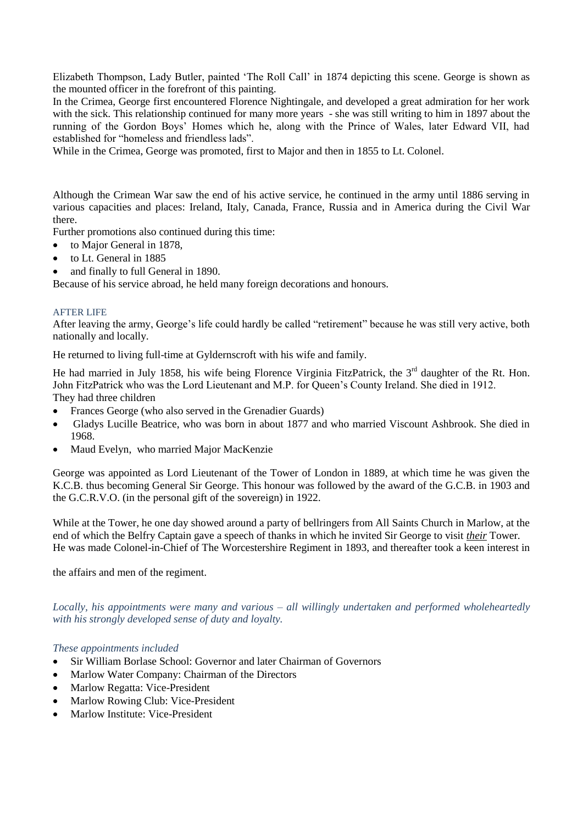Elizabeth Thompson, Lady Butler, painted 'The Roll Call' in 1874 depicting this scene. George is shown as the mounted officer in the forefront of this painting.

In the Crimea, George first encountered Florence Nightingale, and developed a great admiration for her work with the sick. This relationship continued for many more years - she was still writing to him in 1897 about the running of the Gordon Boys' Homes which he, along with the Prince of Wales, later Edward VII, had established for "homeless and friendless lads".

While in the Crimea, George was promoted, first to Major and then in 1855 to Lt. Colonel.

Although the Crimean War saw the end of his active service, he continued in the army until 1886 serving in various capacities and places: Ireland, Italy, Canada, France, Russia and in America during the Civil War there.

Further promotions also continued during this time:

- to Major General in 1878.
- to Lt. General in 1885
- and finally to full General in 1890.

Because of his service abroad, he held many foreign decorations and honours.

#### AFTER LIFE

After leaving the army, George's life could hardly be called "retirement" because he was still very active, both nationally and locally.

He returned to living full-time at Gyldernscroft with his wife and family.

He had married in July 1858, his wife being Florence Virginia FitzPatrick, the 3<sup>rd</sup> daughter of the Rt. Hon. John FitzPatrick who was the Lord Lieutenant and M.P. for Queen's County Ireland. She died in 1912. They had three children

- Frances George (who also served in the Grenadier Guards)
- Gladys Lucille Beatrice, who was born in about 1877 and who married Viscount Ashbrook. She died in 1968.
- Maud Evelyn, who married Major MacKenzie

George was appointed as Lord Lieutenant of the Tower of London in 1889, at which time he was given the K.C.B. thus becoming General Sir George. This honour was followed by the award of the G.C.B. in 1903 and the G.C.R.V.O. (in the personal gift of the sovereign) in 1922.

While at the Tower, he one day showed around a party of bellringers from All Saints Church in Marlow, at the end of which the Belfry Captain gave a speech of thanks in which he invited Sir George to visit *their* Tower. He was made Colonel-in-Chief of The Worcestershire Regiment in 1893, and thereafter took a keen interest in

the affairs and men of the regiment.

*Locally, his appointments were many and various – all willingly undertaken and performed wholeheartedly with his strongly developed sense of duty and loyalty.* 

#### *These appointments included*

- Sir William Borlase School: Governor and later Chairman of Governors
- Marlow Water Company: Chairman of the Directors
- Marlow Regatta: Vice-President
- Marlow Rowing Club: Vice-President
- Marlow Institute: Vice-President